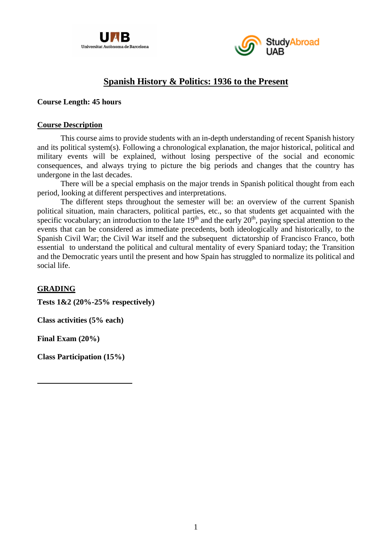



# **Spanish History & Politics: 1936 to the Present**

### **Course Length: 45 hours**

#### **Course Description**

This course aims to provide students with an in-depth understanding of recent Spanish history and its political system(s). Following a chronological explanation, the major historical, political and military events will be explained, without losing perspective of the social and economic consequences, and always trying to picture the big periods and changes that the country has undergone in the last decades.

There will be a special emphasis on the major trends in Spanish political thought from each period, looking at different perspectives and interpretations.

The different steps throughout the semester will be: an overview of the current Spanish political situation, main characters, political parties, etc., so that students get acquainted with the specific vocabulary; an introduction to the late  $19<sup>th</sup>$  and the early  $20<sup>th</sup>$ , paying special attention to the events that can be considered as immediate precedents, both ideologically and historically, to the Spanish Civil War; the Civil War itself and the subsequent dictatorship of Francisco Franco, both essential to understand the political and cultural mentality of every Spaniard today; the Transition and the Democratic years until the present and how Spain has struggled to normalize its political and social life.

## **GRADING**

**Tests 1&2 (20%-25% respectively)**

**Class activities (5% each)**

**Final Exam (20%)**

**Class Participation (15%)**